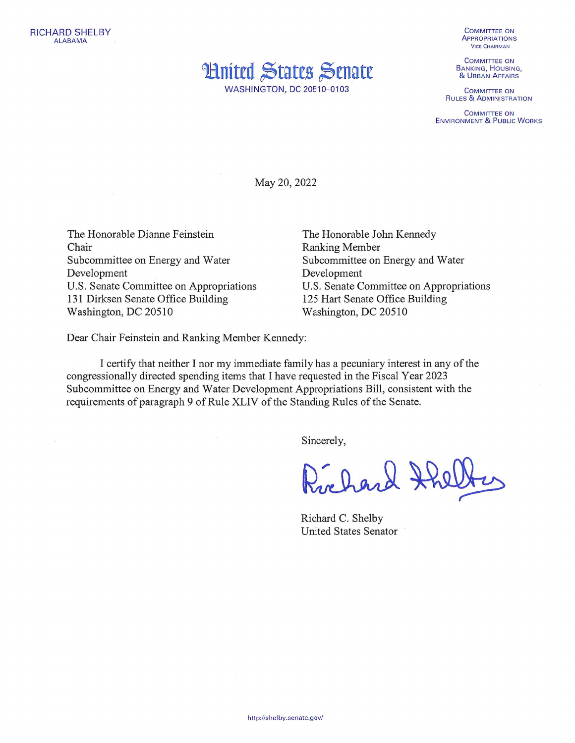

**WASHINGTON, DC 20510-0103** 

**COMMITTEE ON APPROPRIATIONS VICE CHAIRMAN** 

**COMMITTEE ON BANKING, HOUSING,** & URBAN AFFAIRS

**COMMITTEE ON RULES & ADMINISTRATION** 

**COMMITTEE ON ENVIRONMENT & PUBLIC WORKS** 

May 20, 2022

The Honorable Dianne Feinstein Chair Subcommittee on Energy and Water Development U.S. Senate Committee on Appropriations 131 Dirksen Senate Office Building Washington, DC 20510

The Honorable John Kennedy **Ranking Member** Subcommittee on Energy and Water Development U.S. Senate Committee on Appropriations 125 Hart Senate Office Building Washington, DC 20510

Dear Chair Feinstein and Ranking Member Kennedy:

I certify that neither I nor my immediate family has a pecuniary interest in any of the congressionally directed spending items that I have requested in the Fiscal Year 2023 Subcommittee on Energy and Water Development Appropriations Bill, consistent with the requirements of paragraph 9 of Rule XLIV of the Standing Rules of the Senate.

Sincerely,

Richard Halltes

Richard C. Shelby **United States Senator**